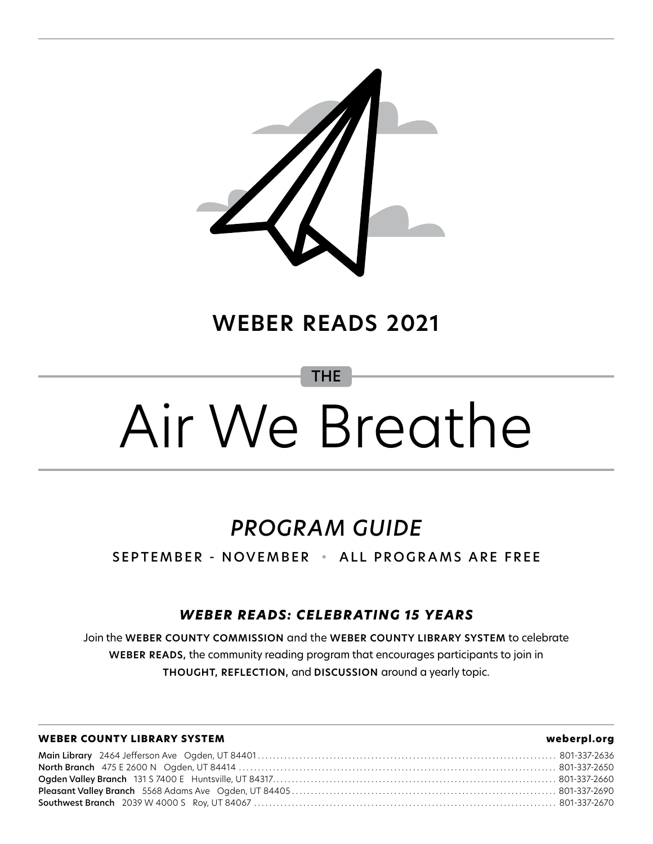

#### **WEBER READS 2021**

THE

# Air We Breathe

### *PROGRAM GUIDE*

SEPTEMBER - NOVEMBER • ALL PROGRAMS ARE FREE

#### *WEBER READS: CELEBRATING 15 YEARS*

Join the **WEBER COUNTY COMMISSION** and the **WEBER COUNTY LIBRARY SYSTEM** to celebrate **WEBER READS,** the community reading program that encourages participants to join in **THOUGHT, REFLECTION,** and **DISCUSSION** around a yearly topic.

#### **WEBER COUNTY LIBRARY SYSTEM weberpl.org**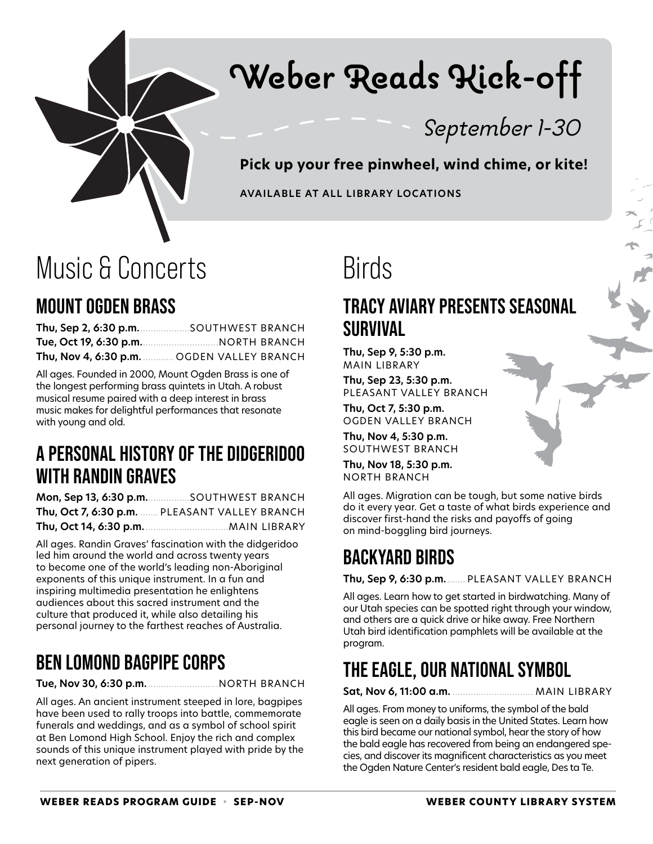

# Weber Reads Kick-off

September 1-30

**Pick up your free pinwheel, wind chime, or kite!**

**AVAILABLE AT ALL LIBRARY LOCATIONS**

### Music & Concerts

#### **MOUNT OGDEN BRASS**

| Thu, Sep 2, 6:30 p.m. SOUTHWEST BRANCH                 |
|--------------------------------------------------------|
| Tue, Oct 19, 6:30 p.m. <u>Charlessen, NORTH BRANCH</u> |
| Thu, Nov 4, 6:30 p.m. CGDEN VALLEY BRANCH              |

All ages. Founded in 2000, Mount Ogden Brass is one of the longest performing brass quintets in Utah. A robust musical resume paired with a deep interest in brass music makes for delightful performances that resonate with young and old.

#### **A PERSONAL HISTORY OF THE DIDGERIDOO WITH RANDIN GRAVES**

**Mon, Sep 13, 6:30 p.m.**................SOUTHWEST BRANCH **Thu, Oct 7, 6:30 p.m.** ....... PLEASANT VALLEY BRANCH **Thu, Oct 14, 6:30 p.m.**................................MAIN LIBRARY

All ages. Randin Graves' fascination with the didgeridoo led him around the world and across twenty years to become one of the world's leading non-Aboriginal exponents of this unique instrument. In a fun and inspiring multimedia presentation he enlightens audiences about this sacred instrument and the culture that produced it, while also detailing his personal journey to the farthest reaches of Australia.

#### **BEN LOMOND BAGPIPE CORPS**

**Tue, Nov 30, 6:30 p.m.**...........................NORTH BRANCH

All ages. An ancient instrument steeped in lore, bagpipes have been used to rally troops into battle, commemorate funerals and weddings, and as a symbol of school spirit at Ben Lomond High School. Enjoy the rich and complex sounds of this unique instrument played with pride by the next generation of pipers.

### Birds

#### **TRACY AVIARY PRESENTS SEASONAL SURVIVAL**

**Thu, Sep 9, 5:30 p.m.** MAIN LIBRARY

**Thu, Sep 23, 5:30 p.m.** PLEASANT VALLEY BRANCH

**Thu, Oct 7, 5:30 p.m.** OGDEN VALLEY BRANCH

**Thu, Nov 4, 5:30 p.m.** SOUTHWEST BRANCH

**Thu, Nov 18, 5:30 p.m.** NORTH BRANCH

All ages. Migration can be tough, but some native birds do it every year. Get a taste of what birds experience and discover first-hand the risks and payoffs of going on mind-boggling bird journeys.

#### **BACKYARD BIRDS**

**Thu, Sep 9, 6:30 p.m.**....... PLEASANT VALLEY BRANCH

All ages. Learn how to get started in birdwatching. Many of our Utah species can be spotted right through your window, and others are a quick drive or hike away. Free Northern Utah bird identification pamphlets will be available at the program.

### **THE EAGLE, OUR NATIONAL SYMBOL**

**Sat, Nov 6, 11:00 a.m.** ............................... MAIN LIBRARY

All ages. From money to uniforms, the symbol of the bald eagle is seen on a daily basis in the United States. Learn how this bird became our national symbol, hear the story of how the bald eagle has recovered from being an endangered species, and discover its magnificent characteristics as you meet the Ogden Nature Center's resident bald eagle, Des ta Te.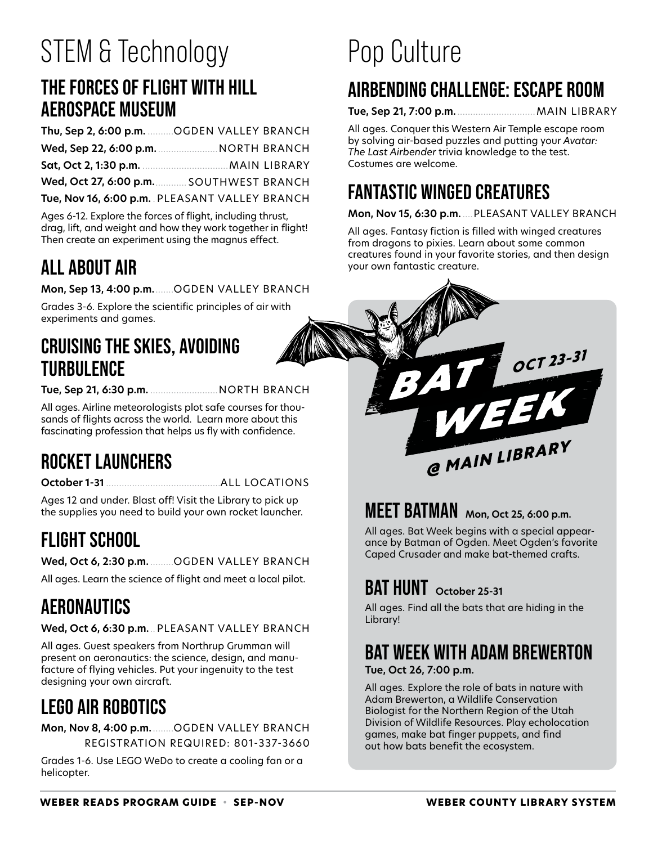# STEM & Technology

#### **THE FORCES OF FLIGHT WITH HILL AEROSPACE MUSEUM**

| Thu, Sep 2, 6:00 p.m.  OGDEN VALLEY BRANCH |  |
|--------------------------------------------|--|
|                                            |  |
|                                            |  |
| Wed, Oct 27, 6:00 p.m. SOUTHWEST BRANCH    |  |
|                                            |  |

**Tue, Nov 16, 6:00 p.m.** . PLEASANT VALLEY BRANCH

Ages 6-12. Explore the forces of flight, including thrust, drag, lift, and weight and how they work together in flight! Then create an experiment using the magnus effect.

#### **ALL ABOUT AIR**

**Mon, Sep 13, 4:00 p.m.**.......OGDEN VALLEY BRANCH

Grades 3-6. Explore the scientific principles of air with experiments and games.

#### **CRUISING THE SKIES, AVOIDING TURBULENCE**

**Tue, Sep 21, 6:30 p.m.** ..........................NORTH BRANCH

All ages. Airline meteorologists plot safe courses for thousands of flights across the world. Learn more about this fascinating profession that helps us fly with confidence.

#### **ROCKET LAUNCHERS**

**October 1-31** ............................................ALL LOCATIONS

Ages 12 and under. Blast off! Visit the Library to pick up the supplies you need to build your own rocket launcher.

### **FLIGHT SCHOOL**

**Wed, Oct 6, 2:30 p.m.** .........OGDEN VALLEY BRANCH

All ages. Learn the science of flight and meet a local pilot.

### **AERONAUTICS**

**Wed, Oct 6, 6:30 p.m.**.. PLEASANT VALLEY BRANCH

All ages. Guest speakers from Northrup Grumman will present on aeronautics: the science, design, and manufacture of flying vehicles. Put your ingenuity to the test designing your own aircraft.

### **LEGO AIR ROBOTICS**

**Mon, Nov 8, 4:00 p.m.** ........OGDEN VALLEY BRANCH REGISTRATION REQUIRED: 801-337-3660

Grades 1-6. Use LEGO WeDo to create a cooling fan or a helicopter.

# Pop Culture

### **AIRBENDING CHALLENGE: ESCAPE ROOM**

**Tue, Sep 21, 7:00 p.m.**..............................MAIN LIBRARY

All ages. Conquer this Western Air Temple escape room by solving air-based puzzles and putting your *Avatar: The Last Airbender* trivia knowledge to the test. Costumes are welcome.

#### **FANTASTIC WINGED CREATURES**

#### **Mon, Nov 15, 6:30 p.m.** ....PLEASANT VALLEY BRANCH

All ages. Fantasy fiction is filled with winged creatures from dragons to pixies. Learn about some common creatures found in your favorite stories, and then design your own fantastic creature.



#### **MEET BATMAN Mon, Oct 25, 6:00 p.m.**

All ages. Bat Week begins with a special appearance by Batman of Ogden. Meet Ogden's favorite Caped Crusader and make bat-themed crafts.

#### **BAT HUNT October 25-31**

All ages. Find all the bats that are hiding in the Library!

### **BAT WEEK WITH ADAM BREWERTON**

**Tue, Oct 26, 7:00 p.m.**

All ages. Explore the role of bats in nature with Adam Brewerton, a Wildlife Conservation Biologist for the Northern Region of the Utah Division of Wildlife Resources. Play echolocation games, make bat finger puppets, and find out how bats benefit the ecosystem.